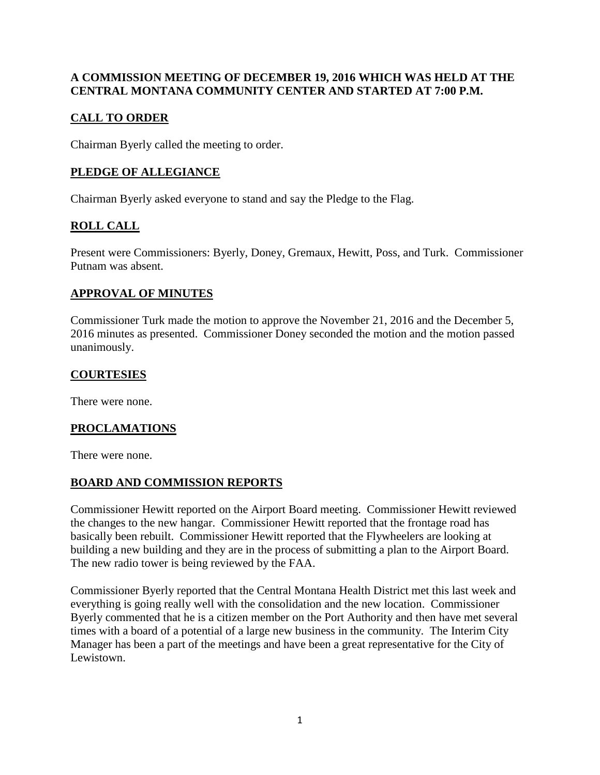### **A COMMISSION MEETING OF DECEMBER 19, 2016 WHICH WAS HELD AT THE CENTRAL MONTANA COMMUNITY CENTER AND STARTED AT 7:00 P.M.**

## **CALL TO ORDER**

Chairman Byerly called the meeting to order.

## **PLEDGE OF ALLEGIANCE**

Chairman Byerly asked everyone to stand and say the Pledge to the Flag.

# **ROLL CALL**

Present were Commissioners: Byerly, Doney, Gremaux, Hewitt, Poss, and Turk. Commissioner Putnam was absent.

### **APPROVAL OF MINUTES**

Commissioner Turk made the motion to approve the November 21, 2016 and the December 5, 2016 minutes as presented. Commissioner Doney seconded the motion and the motion passed unanimously.

### **COURTESIES**

There were none.

## **PROCLAMATIONS**

There were none.

#### **BOARD AND COMMISSION REPORTS**

Commissioner Hewitt reported on the Airport Board meeting. Commissioner Hewitt reviewed the changes to the new hangar. Commissioner Hewitt reported that the frontage road has basically been rebuilt. Commissioner Hewitt reported that the Flywheelers are looking at building a new building and they are in the process of submitting a plan to the Airport Board. The new radio tower is being reviewed by the FAA.

Commissioner Byerly reported that the Central Montana Health District met this last week and everything is going really well with the consolidation and the new location. Commissioner Byerly commented that he is a citizen member on the Port Authority and then have met several times with a board of a potential of a large new business in the community. The Interim City Manager has been a part of the meetings and have been a great representative for the City of Lewistown.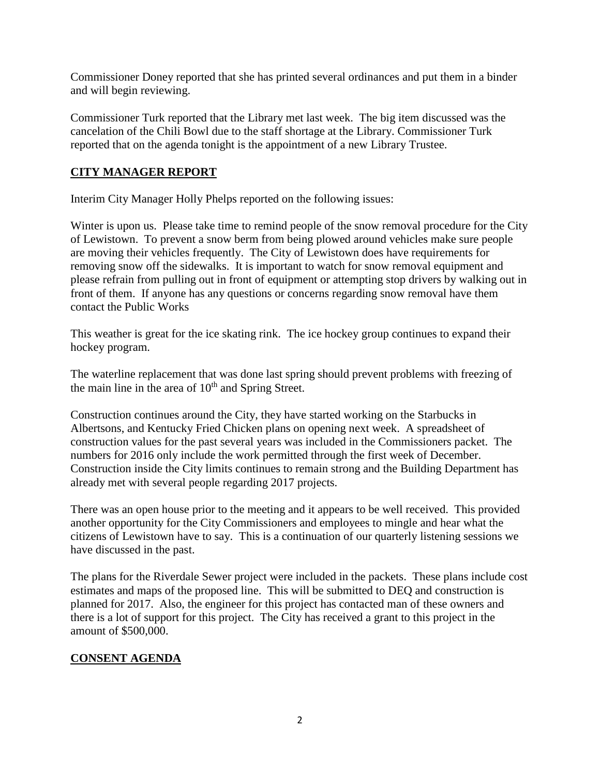Commissioner Doney reported that she has printed several ordinances and put them in a binder and will begin reviewing.

Commissioner Turk reported that the Library met last week. The big item discussed was the cancelation of the Chili Bowl due to the staff shortage at the Library. Commissioner Turk reported that on the agenda tonight is the appointment of a new Library Trustee.

### **CITY MANAGER REPORT**

Interim City Manager Holly Phelps reported on the following issues:

Winter is upon us. Please take time to remind people of the snow removal procedure for the City of Lewistown. To prevent a snow berm from being plowed around vehicles make sure people are moving their vehicles frequently. The City of Lewistown does have requirements for removing snow off the sidewalks. It is important to watch for snow removal equipment and please refrain from pulling out in front of equipment or attempting stop drivers by walking out in front of them. If anyone has any questions or concerns regarding snow removal have them contact the Public Works

This weather is great for the ice skating rink. The ice hockey group continues to expand their hockey program.

The waterline replacement that was done last spring should prevent problems with freezing of the main line in the area of  $10<sup>th</sup>$  and Spring Street.

Construction continues around the City, they have started working on the Starbucks in Albertsons, and Kentucky Fried Chicken plans on opening next week. A spreadsheet of construction values for the past several years was included in the Commissioners packet. The numbers for 2016 only include the work permitted through the first week of December. Construction inside the City limits continues to remain strong and the Building Department has already met with several people regarding 2017 projects.

There was an open house prior to the meeting and it appears to be well received. This provided another opportunity for the City Commissioners and employees to mingle and hear what the citizens of Lewistown have to say. This is a continuation of our quarterly listening sessions we have discussed in the past.

The plans for the Riverdale Sewer project were included in the packets. These plans include cost estimates and maps of the proposed line. This will be submitted to DEQ and construction is planned for 2017. Also, the engineer for this project has contacted man of these owners and there is a lot of support for this project. The City has received a grant to this project in the amount of \$500,000.

#### **CONSENT AGENDA**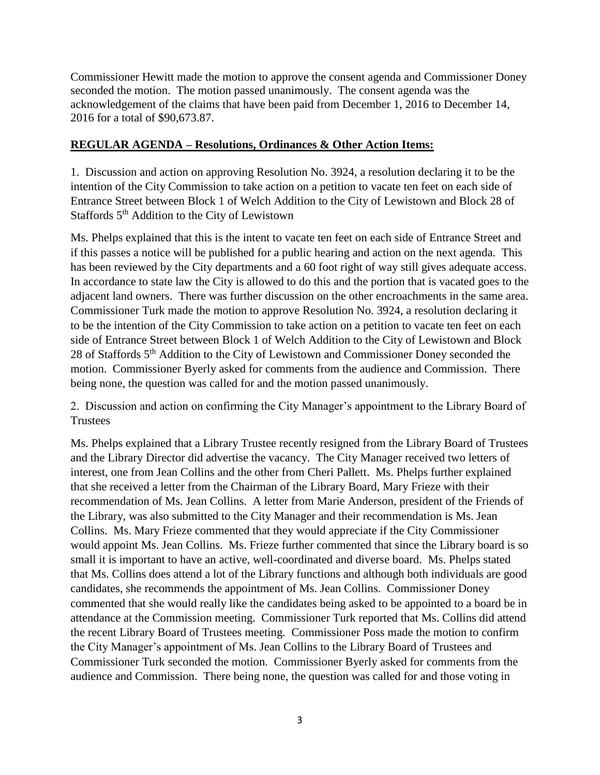Commissioner Hewitt made the motion to approve the consent agenda and Commissioner Doney seconded the motion. The motion passed unanimously. The consent agenda was the acknowledgement of the claims that have been paid from December 1, 2016 to December 14, 2016 for a total of \$90,673.87.

#### **REGULAR AGENDA – Resolutions, Ordinances & Other Action Items:**

1. Discussion and action on approving Resolution No. 3924, a resolution declaring it to be the intention of the City Commission to take action on a petition to vacate ten feet on each side of Entrance Street between Block 1 of Welch Addition to the City of Lewistown and Block 28 of Staffords 5<sup>th</sup> Addition to the City of Lewistown

Ms. Phelps explained that this is the intent to vacate ten feet on each side of Entrance Street and if this passes a notice will be published for a public hearing and action on the next agenda. This has been reviewed by the City departments and a 60 foot right of way still gives adequate access. In accordance to state law the City is allowed to do this and the portion that is vacated goes to the adjacent land owners. There was further discussion on the other encroachments in the same area. Commissioner Turk made the motion to approve Resolution No. 3924, a resolution declaring it to be the intention of the City Commission to take action on a petition to vacate ten feet on each side of Entrance Street between Block 1 of Welch Addition to the City of Lewistown and Block 28 of Staffords 5th Addition to the City of Lewistown and Commissioner Doney seconded the motion. Commissioner Byerly asked for comments from the audience and Commission. There being none, the question was called for and the motion passed unanimously.

2. Discussion and action on confirming the City Manager's appointment to the Library Board of **Trustees** 

Ms. Phelps explained that a Library Trustee recently resigned from the Library Board of Trustees and the Library Director did advertise the vacancy. The City Manager received two letters of interest, one from Jean Collins and the other from Cheri Pallett. Ms. Phelps further explained that she received a letter from the Chairman of the Library Board, Mary Frieze with their recommendation of Ms. Jean Collins. A letter from Marie Anderson, president of the Friends of the Library, was also submitted to the City Manager and their recommendation is Ms. Jean Collins. Ms. Mary Frieze commented that they would appreciate if the City Commissioner would appoint Ms. Jean Collins. Ms. Frieze further commented that since the Library board is so small it is important to have an active, well-coordinated and diverse board. Ms. Phelps stated that Ms. Collins does attend a lot of the Library functions and although both individuals are good candidates, she recommends the appointment of Ms. Jean Collins. Commissioner Doney commented that she would really like the candidates being asked to be appointed to a board be in attendance at the Commission meeting. Commissioner Turk reported that Ms. Collins did attend the recent Library Board of Trustees meeting. Commissioner Poss made the motion to confirm the City Manager's appointment of Ms. Jean Collins to the Library Board of Trustees and Commissioner Turk seconded the motion. Commissioner Byerly asked for comments from the audience and Commission. There being none, the question was called for and those voting in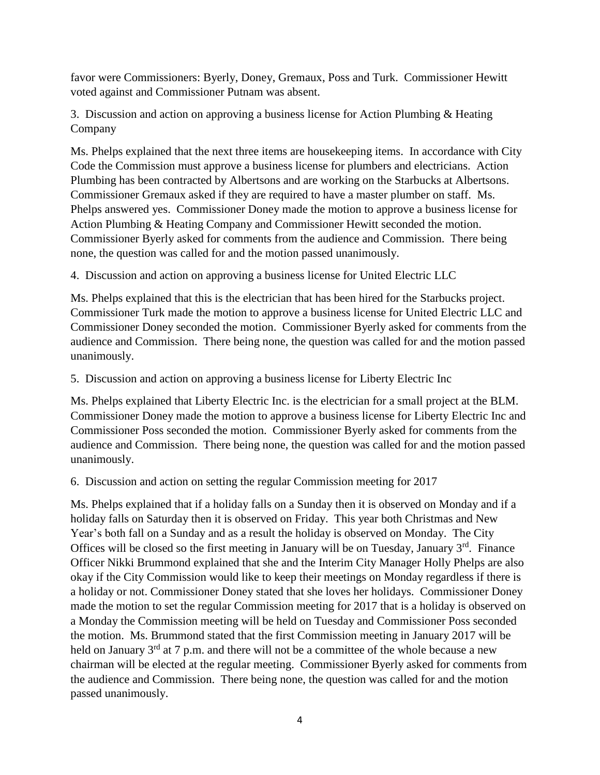favor were Commissioners: Byerly, Doney, Gremaux, Poss and Turk. Commissioner Hewitt voted against and Commissioner Putnam was absent.

3. Discussion and action on approving a business license for Action Plumbing & Heating Company

Ms. Phelps explained that the next three items are housekeeping items. In accordance with City Code the Commission must approve a business license for plumbers and electricians. Action Plumbing has been contracted by Albertsons and are working on the Starbucks at Albertsons. Commissioner Gremaux asked if they are required to have a master plumber on staff. Ms. Phelps answered yes. Commissioner Doney made the motion to approve a business license for Action Plumbing & Heating Company and Commissioner Hewitt seconded the motion. Commissioner Byerly asked for comments from the audience and Commission. There being none, the question was called for and the motion passed unanimously.

4. Discussion and action on approving a business license for United Electric LLC

Ms. Phelps explained that this is the electrician that has been hired for the Starbucks project. Commissioner Turk made the motion to approve a business license for United Electric LLC and Commissioner Doney seconded the motion. Commissioner Byerly asked for comments from the audience and Commission. There being none, the question was called for and the motion passed unanimously.

5. Discussion and action on approving a business license for Liberty Electric Inc

Ms. Phelps explained that Liberty Electric Inc. is the electrician for a small project at the BLM. Commissioner Doney made the motion to approve a business license for Liberty Electric Inc and Commissioner Poss seconded the motion. Commissioner Byerly asked for comments from the audience and Commission. There being none, the question was called for and the motion passed unanimously.

6. Discussion and action on setting the regular Commission meeting for 2017

Ms. Phelps explained that if a holiday falls on a Sunday then it is observed on Monday and if a holiday falls on Saturday then it is observed on Friday. This year both Christmas and New Year's both fall on a Sunday and as a result the holiday is observed on Monday. The City Offices will be closed so the first meeting in January will be on Tuesday, January  $3<sup>rd</sup>$ . Finance Officer Nikki Brummond explained that she and the Interim City Manager Holly Phelps are also okay if the City Commission would like to keep their meetings on Monday regardless if there is a holiday or not. Commissioner Doney stated that she loves her holidays. Commissioner Doney made the motion to set the regular Commission meeting for 2017 that is a holiday is observed on a Monday the Commission meeting will be held on Tuesday and Commissioner Poss seconded the motion. Ms. Brummond stated that the first Commission meeting in January 2017 will be held on January  $3<sup>rd</sup>$  at 7 p.m. and there will not be a committee of the whole because a new chairman will be elected at the regular meeting. Commissioner Byerly asked for comments from the audience and Commission. There being none, the question was called for and the motion passed unanimously.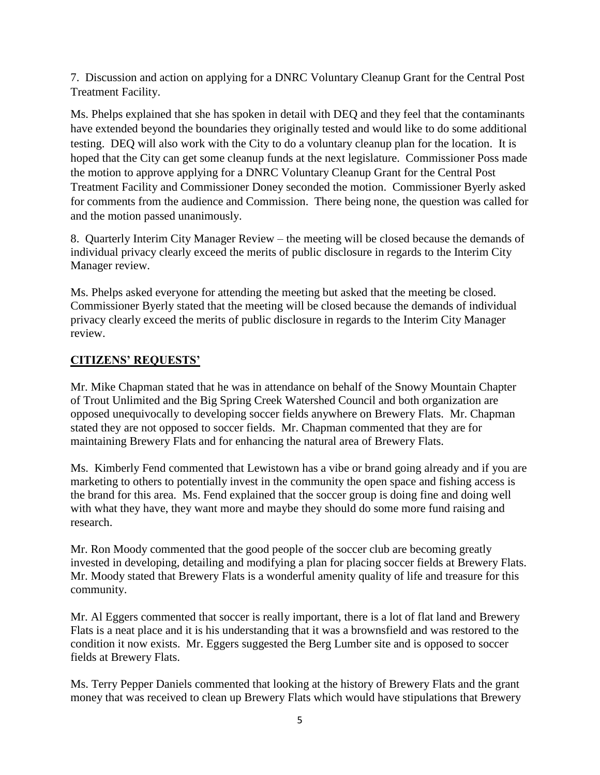7. Discussion and action on applying for a DNRC Voluntary Cleanup Grant for the Central Post Treatment Facility.

Ms. Phelps explained that she has spoken in detail with DEQ and they feel that the contaminants have extended beyond the boundaries they originally tested and would like to do some additional testing. DEQ will also work with the City to do a voluntary cleanup plan for the location. It is hoped that the City can get some cleanup funds at the next legislature. Commissioner Poss made the motion to approve applying for a DNRC Voluntary Cleanup Grant for the Central Post Treatment Facility and Commissioner Doney seconded the motion. Commissioner Byerly asked for comments from the audience and Commission. There being none, the question was called for and the motion passed unanimously.

8. Quarterly Interim City Manager Review – the meeting will be closed because the demands of individual privacy clearly exceed the merits of public disclosure in regards to the Interim City Manager review.

Ms. Phelps asked everyone for attending the meeting but asked that the meeting be closed. Commissioner Byerly stated that the meeting will be closed because the demands of individual privacy clearly exceed the merits of public disclosure in regards to the Interim City Manager review.

#### **CITIZENS' REQUESTS'**

Mr. Mike Chapman stated that he was in attendance on behalf of the Snowy Mountain Chapter of Trout Unlimited and the Big Spring Creek Watershed Council and both organization are opposed unequivocally to developing soccer fields anywhere on Brewery Flats. Mr. Chapman stated they are not opposed to soccer fields. Mr. Chapman commented that they are for maintaining Brewery Flats and for enhancing the natural area of Brewery Flats.

Ms. Kimberly Fend commented that Lewistown has a vibe or brand going already and if you are marketing to others to potentially invest in the community the open space and fishing access is the brand for this area. Ms. Fend explained that the soccer group is doing fine and doing well with what they have, they want more and maybe they should do some more fund raising and research.

Mr. Ron Moody commented that the good people of the soccer club are becoming greatly invested in developing, detailing and modifying a plan for placing soccer fields at Brewery Flats. Mr. Moody stated that Brewery Flats is a wonderful amenity quality of life and treasure for this community.

Mr. Al Eggers commented that soccer is really important, there is a lot of flat land and Brewery Flats is a neat place and it is his understanding that it was a brownsfield and was restored to the condition it now exists. Mr. Eggers suggested the Berg Lumber site and is opposed to soccer fields at Brewery Flats.

Ms. Terry Pepper Daniels commented that looking at the history of Brewery Flats and the grant money that was received to clean up Brewery Flats which would have stipulations that Brewery